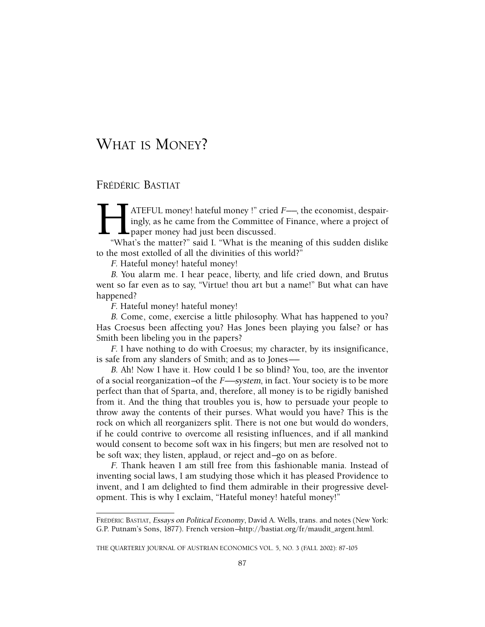# FRÉDÉRIC BASTIAT

ATEFUL money! hateful money !" cried *F*—, the economist, despairingly, as he came from the Committee of Finance, where a project of paper money had just been discussed. "What's the matter?" said I. "What is the meaning of ingly, as he came from the Committee of Finance, where a project of **L** m<sub>8</sub>*y*,  $\omega$  in the case of the contract of the paper money had just been discussed.

"What's the matter?" said I. "What is the meaning of this sudden dislike to the most extolled of all the divinities of this world?"

F. Hateful money! hateful money!

B. You alarm me. I hear peace, liberty, and life cried down, and Brutus went so far even as to say, "Virtue! thou art but a name!" But what can have happened?

F. Hateful money! hateful money!

B. Come, come, exercise a little philosophy. What has happened to you? Has Croesus been affecting you? Has Jones been playing you false? or has Smith been libeling you in the papers?

F. I have nothing to do with Croesus; my character, by its insignificance, is safe from any slanders of Smith; and as to Jones——

B. Ah! Now I have it. How could I be so blind? You, too, are the inventor of a social reorganization—of the F——system, in fact. Your society is to be more perfect than that of Sparta, and, therefore, all money is to be rigidly banished from it. And the thing that troubles you is, how to persuade your people to throw away the contents of their purses. What would you have? This is the rock on which all reorganizers split. There is not one but would do wonders, if he could contrive to overcome all resisting influences, and if all mankind would consent to become soft wax in his fingers; but men are resolved not to be soft wax; they listen, applaud, or reject and—go on as before.

F. Thank heaven I am still free from this fashionable mania. Instead of inventing social laws, I am studying those which it has pleased Providence to invent, and I am delighted to find them admirable in their progressive development. This is why I exclaim, "Hateful money! hateful money!"

THE QUARTERLY JOURNAL OF AUSTRIAN ECONOMICS VOL. 5, NO. 3 (FALL 2002): 87–105

FRÉDÉRIC BASTIAT, Essays on Political Economy, David A. Wells, trans. and notes (New York: G.P. Putnam's Sons, 1877). French version—http://bastiat.org/fr/maudit\_argent.html.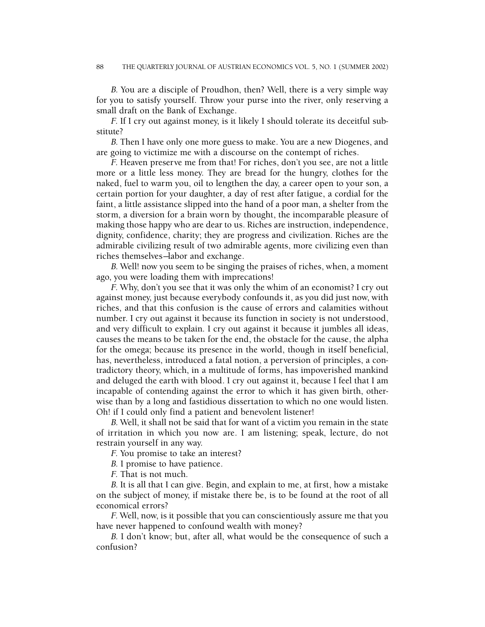B. You are a disciple of Proudhon, then? Well, there is a very simple way for you to satisfy yourself. Throw your purse into the river, only reserving a small draft on the Bank of Exchange.

F. If I cry out against money, is it likely I should tolerate its deceitful substitute?

B. Then I have only one more guess to make. You are a new Diogenes, and are going to victimize me with a discourse on the contempt of riches.

F. Heaven preserve me from that! For riches, don't you see, are not a little more or a little less money. They are bread for the hungry, clothes for the naked, fuel to warm you, oil to lengthen the day, a career open to your son, a certain portion for your daughter, a day of rest after fatigue, a cordial for the faint, a little assistance slipped into the hand of a poor man, a shelter from the storm, a diversion for a brain worn by thought, the incomparable pleasure of making those happy who are dear to us. Riches are instruction, independence, dignity, confidence, charity; they are progress and civilization. Riches are the admirable civilizing result of two admirable agents, more civilizing even than riches themselves—labor and exchange.

B. Well! now you seem to be singing the praises of riches, when, a moment ago, you were loading them with imprecations!

F. Why, don't you see that it was only the whim of an economist? I cry out against money, just because everybody confounds it, as you did just now, with riches, and that this confusion is the cause of errors and calamities without number. I cry out against it because its function in society is not understood, and very difficult to explain. I cry out against it because it jumbles all ideas, causes the means to be taken for the end, the obstacle for the cause, the alpha for the omega; because its presence in the world, though in itself beneficial, has, nevertheless, introduced a fatal notion, a perversion of principles, a contradictory theory, which, in a multitude of forms, has impoverished mankind and deluged the earth with blood. I cry out against it, because I feel that I am incapable of contending against the error to which it has given birth, otherwise than by a long and fastidious dissertation to which no one would listen. Oh! if I could only find a patient and benevolent listener!

B. Well, it shall not be said that for want of a victim you remain in the state of irritation in which you now are. I am listening; speak, lecture, do not restrain yourself in any way.

F. You promise to take an interest?

B. I promise to have patience.

F. That is not much.

B. It is all that I can give. Begin, and explain to me, at first, how a mistake on the subject of money, if mistake there be, is to be found at the root of all economical errors?

F. Well, now, is it possible that you can conscientiously assure me that you have never happened to confound wealth with money?

B. I don't know; but, after all, what would be the consequence of such a confusion?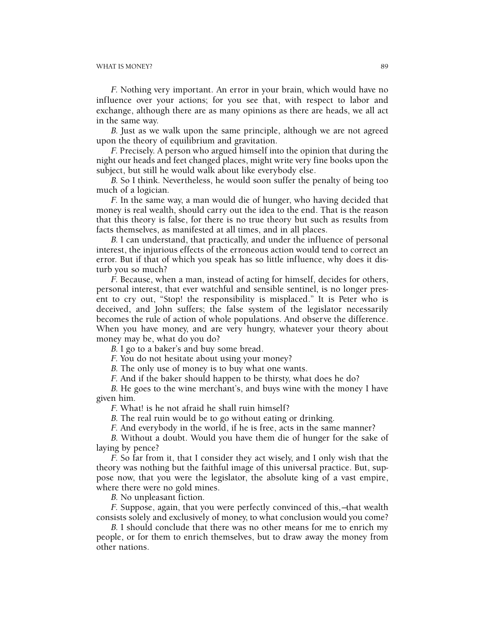F. Nothing very important. An error in your brain, which would have no influence over your actions; for you see that, with respect to labor and exchange, although there are as many opinions as there are heads, we all act in the same way.

B. Just as we walk upon the same principle, although we are not agreed upon the theory of equilibrium and gravitation.

F. Precisely. A person who argued himself into the opinion that during the night our heads and feet changed places, might write very fine books upon the subject, but still he would walk about like everybody else.

B. So I think. Nevertheless, he would soon suffer the penalty of being too much of a logician.

F. In the same way, a man would die of hunger, who having decided that money is real wealth, should carry out the idea to the end. That is the reason that this theory is false, for there is no true theory but such as results from facts themselves, as manifested at all times, and in all places.

B. I can understand, that practically, and under the influence of personal interest, the injurious effects of the erroneous action would tend to correct an error. But if that of which you speak has so little influence, why does it disturb you so much?

F. Because, when a man, instead of acting for himself, decides for others, personal interest, that ever watchful and sensible sentinel, is no longer present to cry out, "Stop! the responsibility is misplaced." It is Peter who is deceived, and John suffers; the false system of the legislator necessarily becomes the rule of action of whole populations. And observe the difference. When you have money, and are very hungry, whatever your theory about money may be, what do you do?

B. I go to a baker's and buy some bread.

F. You do not hesitate about using your money?

B. The only use of money is to buy what one wants.

F. And if the baker should happen to be thirsty, what does he do?

B. He goes to the wine merchant's, and buys wine with the money I have given him.

F. What! is he not afraid he shall ruin himself?

B. The real ruin would be to go without eating or drinking.

F. And everybody in the world, if he is free, acts in the same manner?

B. Without a doubt. Would you have them die of hunger for the sake of laying by pence?

F. So far from it, that I consider they act wisely, and I only wish that the theory was nothing but the faithful image of this universal practice. But, suppose now, that you were the legislator, the absolute king of a vast empire, where there were no gold mines.

B. No unpleasant fiction.

F. Suppose, again, that you were perfectly convinced of this,—that wealth consists solely and exclusively of money, to what conclusion would you come?

B. I should conclude that there was no other means for me to enrich my people, or for them to enrich themselves, but to draw away the money from other nations.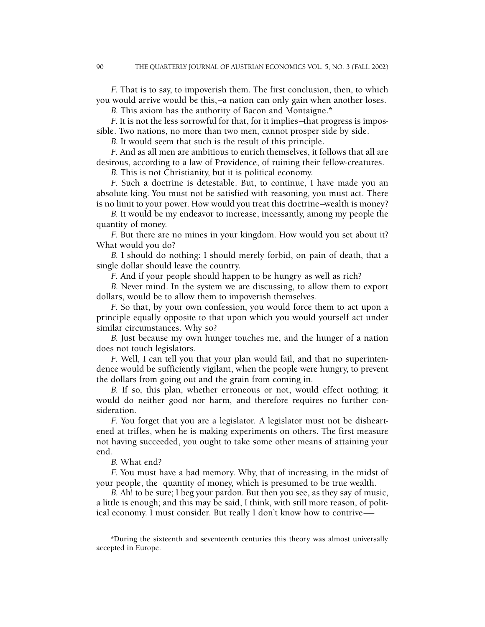F. That is to say, to impoverish them. The first conclusion, then, to which you would arrive would be this,—a nation can only gain when another loses.

B. This axiom has the authority of Bacon and Montaigne.\*

F. It is not the less sorrowful for that, for it implies—that progress is impossible. Two nations, no more than two men, cannot prosper side by side.

B. It would seem that such is the result of this principle.

F. And as all men are ambitious to enrich themselves, it follows that all are desirous, according to a law of Providence, of ruining their fellow-creatures.

B. This is not Christianity, but it is political economy.

F. Such a doctrine is detestable. But, to continue, I have made you an absolute king. You must not be satisfied with reasoning, you must act. There is no limit to your power. How would you treat this doctrine—wealth is money?

B. It would be my endeavor to increase, incessantly, among my people the quantity of money.

F. But there are no mines in your kingdom. How would you set about it? What would you do?

B. I should do nothing: I should merely forbid, on pain of death, that a single dollar should leave the country.

F. And if your people should happen to be hungry as well as rich?

B. Never mind. In the system we are discussing, to allow them to export dollars, would be to allow them to impoverish themselves.

F. So that, by your own confession, you would force them to act upon a principle equally opposite to that upon which you would yourself act under similar circumstances. Why so?

B. Just because my own hunger touches me, and the hunger of a nation does not touch legislators.

F. Well, I can tell you that your plan would fail, and that no superintendence would be sufficiently vigilant, when the people were hungry, to prevent the dollars from going out and the grain from coming in.

B. If so, this plan, whether erroneous or not, would effect nothing; it would do neither good nor harm, and therefore requires no further consideration.

F. You forget that you are a legislator. A legislator must not be disheartened at trifles, when he is making experiments on others. The first measure not having succeeded, you ought to take some other means of attaining your end.

B. What end?

F. You must have a bad memory. Why, that of increasing, in the midst of your people, the quantity of money, which is presumed to be true wealth.

B. Ah! to be sure; I beg your pardon. But then you see, as they say of music, a little is enough; and this may be said, I think, with still more reason, of political economy. I must consider. But really I don't know how to contrive——

<sup>\*</sup>During the sixteenth and seventeenth centuries this theory was almost universally accepted in Europe.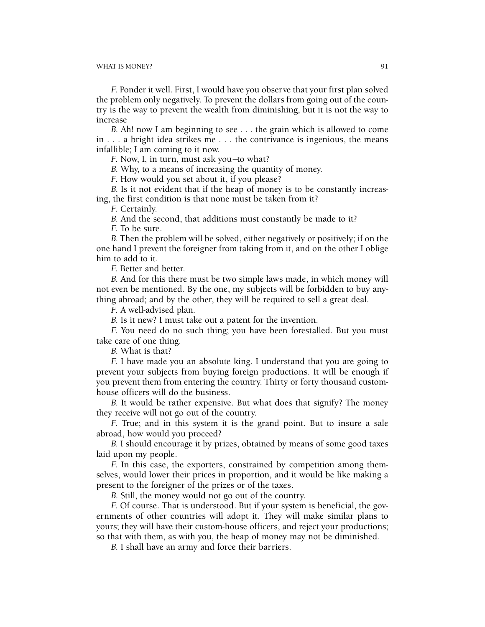F. Ponder it well. First, I would have you observe that your first plan solved the problem only negatively. To prevent the dollars from going out of the country is the way to prevent the wealth from diminishing, but it is not the way to increase

B. Ah! now I am beginning to see . . . the grain which is allowed to come in . . . a bright idea strikes me . . . the contrivance is ingenious, the means infallible; I am coming to it now.

F. Now, I, in turn, must ask you—to what?

B. Why, to a means of increasing the quantity of money.

F. How would you set about it, if you please?

B. Is it not evident that if the heap of money is to be constantly increasing, the first condition is that none must be taken from it?

F. Certainly.

B. And the second, that additions must constantly be made to it?

F. To be sure.

B. Then the problem will be solved, either negatively or positively; if on the one hand I prevent the foreigner from taking from it, and on the other I oblige him to add to it.

F. Better and better.

B. And for this there must be two simple laws made, in which money will not even be mentioned. By the one, my subjects will be forbidden to buy anything abroad; and by the other, they will be required to sell a great deal.

F. A well-advised plan.

B. Is it new? I must take out a patent for the invention.

F. You need do no such thing; you have been forestalled. But you must take care of one thing.

B. What is that?

F. I have made you an absolute king. I understand that you are going to prevent your subjects from buying foreign productions. It will be enough if you prevent them from entering the country. Thirty or forty thousand customhouse officers will do the business.

B. It would be rather expensive. But what does that signify? The money they receive will not go out of the country.

F. True; and in this system it is the grand point. But to insure a sale abroad, how would you proceed?

B. I should encourage it by prizes, obtained by means of some good taxes laid upon my people.

F. In this case, the exporters, constrained by competition among themselves, would lower their prices in proportion, and it would be like making a present to the foreigner of the prizes or of the taxes.

B. Still, the money would not go out of the country.

F. Of course. That is understood. But if your system is beneficial, the governments of other countries will adopt it. They will make similar plans to yours; they will have their custom-house officers, and reject your productions; so that with them, as with you, the heap of money may not be diminished.

B. I shall have an army and force their barriers.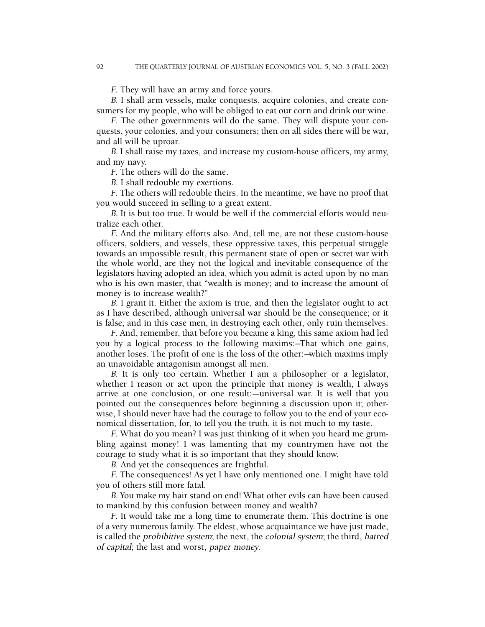F. They will have an army and force yours.

B. I shall arm vessels, make conquests, acquire colonies, and create consumers for my people, who will be obliged to eat our corn and drink our wine.

F. The other governments will do the same. They will dispute your conquests, your colonies, and your consumers; then on all sides there will be war, and all will be uproar.

B. I shall raise my taxes, and increase my custom-house officers, my army, and my navy.

F. The others will do the same.

B. I shall redouble my exertions.

F. The others will redouble theirs. In the meantime, we have no proof that you would succeed in selling to a great extent.

B. It is but too true. It would be well if the commercial efforts would neutralize each other.

F. And the military efforts also. And, tell me, are not these custom-house officers, soldiers, and vessels, these oppressive taxes, this perpetual struggle towards an impossible result, this permanent state of open or secret war with the whole world, are they not the logical and inevitable consequence of the legislators having adopted an idea, which you admit is acted upon by no man who is his own master, that "wealth is money; and to increase the amount of money is to increase wealth?"

B. I grant it. Either the axiom is true, and then the legislator ought to act as I have described, although universal war should be the consequence; or it is false; and in this case men, in destroying each other, only ruin themselves.

F. And, remember, that before you became a king, this same axiom had led you by a logical process to the following maxims:—That which one gains, another loses. The profit of one is the loss of the other:—which maxims imply an unavoidable antagonism amongst all men.

B. It is only too certain. Whether I am a philosopher or a legislator, whether I reason or act upon the principle that money is wealth, I always arrive at one conclusion, or one result:—universal war. It is well that you pointed out the consequences before beginning a discussion upon it; otherwise, I should never have had the courage to follow you to the end of your economical dissertation, for, to tell you the truth, it is not much to my taste.

F. What do you mean? I was just thinking of it when you heard me grumbling against money! I was lamenting that my countrymen have not the courage to study what it is so important that they should know.

B. And yet the consequences are frightful.

F. The consequences! As yet I have only mentioned one. I might have told you of others still more fatal.

B. You make my hair stand on end! What other evils can have been caused to mankind by this confusion between money and wealth?

F. It would take me a long time to enumerate them. This doctrine is one of a very numerous family. The eldest, whose acquaintance we have just made, is called the prohibitive system; the next, the colonial system; the third, hatred of capital; the last and worst, paper money.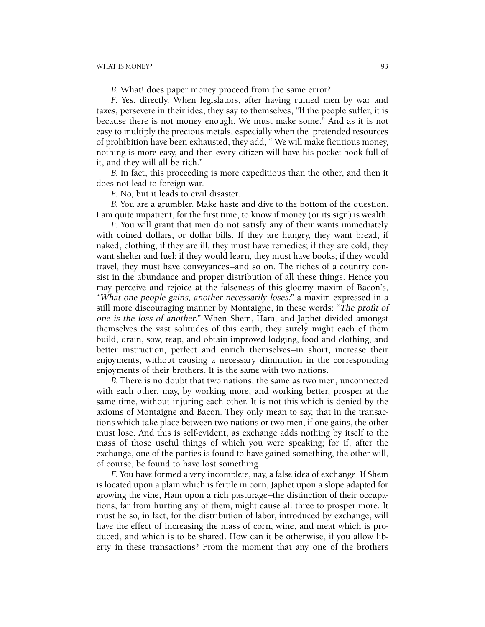B. What! does paper money proceed from the same error?

F. Yes, directly. When legislators, after having ruined men by war and taxes, persevere in their idea, they say to themselves, "If the people suffer, it is because there is not money enough. We must make some." And as it is not easy to multiply the precious metals, especially when the pretended resources of prohibition have been exhausted, they add, " We will make fictitious money, nothing is more easy, and then every citizen will have his pocket-book full of it, and they will all be rich."

B. In fact, this proceeding is more expeditious than the other, and then it does not lead to foreign war.

F. No, but it leads to civil disaster.

B. You are a grumbler. Make haste and dive to the bottom of the question. I am quite impatient, for the first time, to know if money (or its sign) is wealth.

F. You will grant that men do not satisfy any of their wants immediately with coined dollars, or dollar bills. If they are hungry, they want bread; if naked, clothing; if they are ill, they must have remedies; if they are cold, they want shelter and fuel; if they would learn, they must have books; if they would travel, they must have conveyances—and so on. The riches of a country consist in the abundance and proper distribution of all these things. Hence you may perceive and rejoice at the falseness of this gloomy maxim of Bacon's, "What one people gains, another necessarily loses:" a maxim expressed in a still more discouraging manner by Montaigne, in these words: "The profit of one is the loss of another." When Shem, Ham, and Japhet divided amongst themselves the vast solitudes of this earth, they surely might each of them build, drain, sow, reap, and obtain improved lodging, food and clothing, and better instruction, perfect and enrich themselves—in short, increase their enjoyments, without causing a necessary diminution in the corresponding enjoyments of their brothers. It is the same with two nations.

B. There is no doubt that two nations, the same as two men, unconnected with each other, may, by working more, and working better, prosper at the same time, without injuring each other. It is not this which is denied by the axioms of Montaigne and Bacon. They only mean to say, that in the transactions which take place between two nations or two men, if one gains, the other must lose. And this is self-evident, as exchange adds nothing by itself to the mass of those useful things of which you were speaking; for if, after the exchange, one of the parties is found to have gained something, the other will, of course, be found to have lost something.

F. You have formed a very incomplete, nay, a false idea of exchange. If Shem is located upon a plain which is fertile in corn, Japhet upon a slope adapted for growing the vine, Ham upon a rich pasturage—the distinction of their occupations, far from hurting any of them, might cause all three to prosper more. It must be so, in fact, for the distribution of labor, introduced by exchange, will have the effect of increasing the mass of corn, wine, and meat which is produced, and which is to be shared. How can it be otherwise, if you allow liberty in these transactions? From the moment that any one of the brothers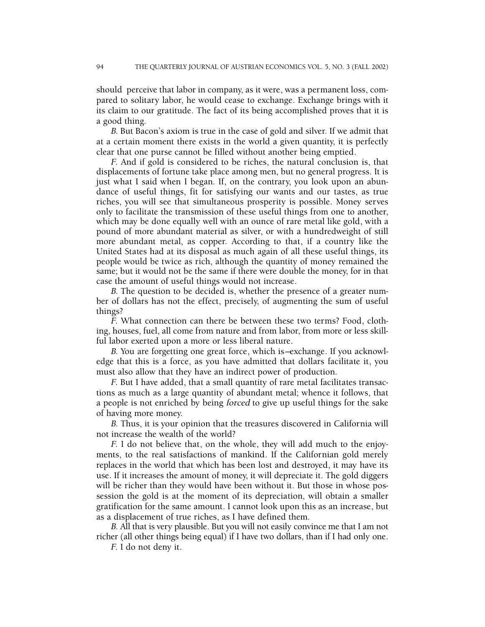should perceive that labor in company, as it were, was a permanent loss, compared to solitary labor, he would cease to exchange. Exchange brings with it its claim to our gratitude. The fact of its being accomplished proves that it is a good thing.

B. But Bacon's axiom is true in the case of gold and silver. If we admit that at a certain moment there exists in the world a given quantity, it is perfectly clear that one purse cannot be filled without another being emptied.

F. And if gold is considered to be riches, the natural conclusion is, that displacements of fortune take place among men, but no general progress. It is just what I said when I began. If, on the contrary, you look upon an abundance of useful things, fit for satisfying our wants and our tastes, as true riches, you will see that simultaneous prosperity is possible. Money serves only to facilitate the transmission of these useful things from one to another, which may be done equally well with an ounce of rare metal like gold, with a pound of more abundant material as silver, or with a hundredweight of still more abundant metal, as copper. According to that, if a country like the United States had at its disposal as much again of all these useful things, its people would be twice as rich, although the quantity of money remained the same; but it would not be the same if there were double the money, for in that case the amount of useful things would not increase.

B. The question to be decided is, whether the presence of a greater number of dollars has not the effect, precisely, of augmenting the sum of useful things?

F. What connection can there be between these two terms? Food, clothing, houses, fuel, all come from nature and from labor, from more or less skillful labor exerted upon a more or less liberal nature.

B. You are forgetting one great force, which is—exchange. If you acknowledge that this is a force, as you have admitted that dollars facilitate it, you must also allow that they have an indirect power of production.

F. But I have added, that a small quantity of rare metal facilitates transactions as much as a large quantity of abundant metal; whence it follows, that a people is not enriched by being forced to give up useful things for the sake of having more money.

B. Thus, it is your opinion that the treasures discovered in California will not increase the wealth of the world?

F. I do not believe that, on the whole, they will add much to the enjoyments, to the real satisfactions of mankind. If the Californian gold merely replaces in the world that which has been lost and destroyed, it may have its use. If it increases the amount of money, it will depreciate it. The gold diggers will be richer than they would have been without it. But those in whose possession the gold is at the moment of its depreciation, will obtain a smaller gratification for the same amount. I cannot look upon this as an increase, but as a displacement of true riches, as I have defined them.

B. All that is very plausible. But you will not easily convince me that I am not richer (all other things being equal) if I have two dollars, than if I had only one.

F. I do not deny it.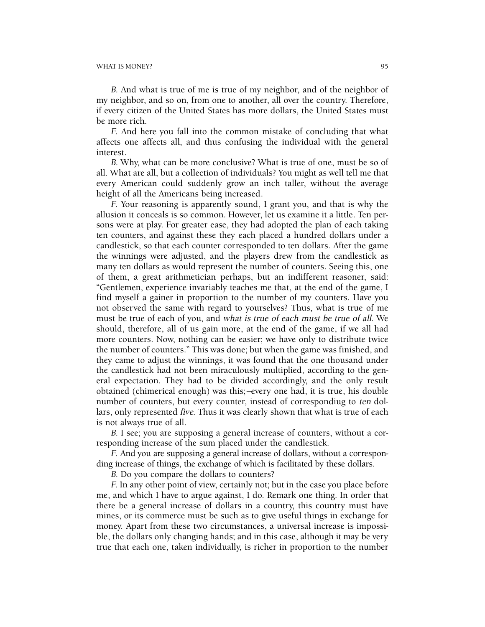B. And what is true of me is true of my neighbor, and of the neighbor of my neighbor, and so on, from one to another, all over the country. Therefore, if every citizen of the United States has more dollars, the United States must be more rich.

F. And here you fall into the common mistake of concluding that what affects one affects all, and thus confusing the individual with the general interest.

B. Why, what can be more conclusive? What is true of one, must be so of all. What are all, but a collection of individuals? You might as well tell me that every American could suddenly grow an inch taller, without the average height of all the Americans being increased.

F. Your reasoning is apparently sound, I grant you, and that is why the allusion it conceals is so common. However, let us examine it a little. Ten persons were at play. For greater ease, they had adopted the plan of each taking ten counters, and against these they each placed a hundred dollars under a candlestick, so that each counter corresponded to ten dollars. After the game the winnings were adjusted, and the players drew from the candlestick as many ten dollars as would represent the number of counters. Seeing this, one of them, a great arithmetician perhaps, but an indifferent reasoner, said: "Gentlemen, experience invariably teaches me that, at the end of the game, I find myself a gainer in proportion to the number of my counters. Have you not observed the same with regard to yourselves? Thus, what is true of me must be true of each of you, and what is true of each must be true of all. We should, therefore, all of us gain more, at the end of the game, if we all had more counters. Now, nothing can be easier; we have only to distribute twice the number of counters." This was done; but when the game was finished, and they came to adjust the winnings, it was found that the one thousand under the candlestick had not been miraculously multiplied, according to the general expectation. They had to be divided accordingly, and the only result obtained (chimerical enough) was this;—every one had, it is true, his double number of counters, but every counter, instead of correspondiug to ten dollars, only represented five. Thus it was clearly shown that what is true of each is not always true of all.

B. I see; you are supposing a general increase of counters, without a corresponding increase of the sum placed under the candlestick.

F. And you are supposing a general increase of dollars, without a corresponding increase of things, the exchange of which is facilitated by these dollars.

B. Do you compare the dollars to counters?

F. In any other point of view, certainly not; but in the case you place before me, and which I have to argue against, I do. Remark one thing. In order that there be a general increase of dollars in a country, this country must have mines, or its commerce must be such as to give useful things in exchange for money. Apart from these two circumstances, a universal increase is impossible, the dollars only changing hands; and in this case, although it may be very true that each one, taken individually, is richer in proportion to the number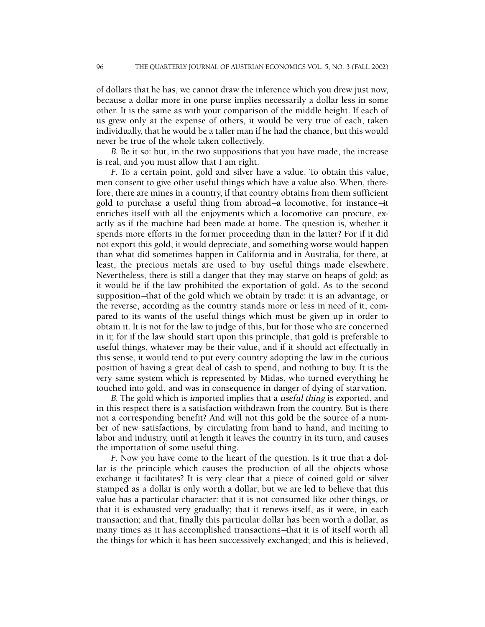of dollars that he has, we cannot draw the inference which you drew just now, because a dollar more in one purse implies necessarily a dollar less in some other. It is the same as with your comparison of the middle height. If each of us grew only at the expense of others, it would be very true of each, taken individually, that he would be a taller man if he had the chance, but this would never be true of the whole taken collectively.

B. Be it so: but, in the two suppositions that you have made, the increase is real, and you must allow that I am right.

F. To a certain point, gold and silver have a value. To obtain this value, men consent to give other useful things which have a value also. When, therefore, there are mines in a country, if that country obtains from them sufficient gold to purchase a useful thing from abroad—a locomotive, for instance—it enriches itself with all the enjoyments which a locomotive can procure, exactly as if the machine had been made at home. The question is, whether it spends more efforts in the former proceeding than in the latter? For if it did not export this gold, it would depreciate, and something worse would happen than what did sometimes happen in California and in Australia, for there, at least, the precious metals are used to buy useful things made elsewhere. Nevertheless, there is still a danger that they may starve on heaps of gold; as it would be if the law prohibited the exportation of gold. As to the second supposition—that of the gold which we obtain by trade: it is an advantage, or the reverse, according as the country stands more or less in need of it, compared to its wants of the useful things which must be given up in order to obtain it. It is not for the law to judge of this, but for those who are concerned in it; for if the law should start upon this principle, that gold is preferable to useful things, whatever may be their value, and if it should act effectually in this sense, it would tend to put every country adopting the law in the curious position of having a great deal of cash to spend, and nothing to buy. It is the very same system which is represented by Midas, who turned everything he touched into gold, and was in consequence in danger of dying of starvation.

B. The gold which is imported implies that a useful thing is exported, and in this respect there is a satisfaction withdrawn from the country. But is there not a corresponding benefit? And will not this gold be the source of a number of new satisfactions, by circulating from hand to hand, and inciting to labor and industry, until at length it leaves the country in its turn, and causes the importation of some useful thing.

F. Now you have come to the heart of the question. Is it true that a dollar is the principle which causes the production of all the objects whose exchange it facilitates? It is very clear that a piece of coined gold or silver stamped as a dollar is only worth a dollar; but we are led to believe that this value has a particular character: that it is not consumed like other things, or that it is exhausted very gradually; that it renews itself, as it were, in each transaction; and that, finally this particular dollar has been worth a dollar, as many times as it has accomplished transactions—that it is of itself worth all the things for which it has been successively exchanged; and this is believed,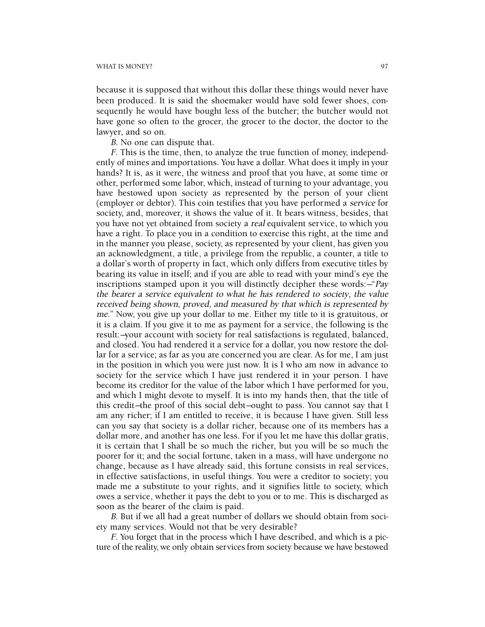because it is supposed that without this dollar these things would never have been produced. It is said the shoemaker would have sold fewer shoes, consequently he would have bought less of the butcher; the butcher would not have gone so often to the grocer, the grocer to the doctor, the doctor to the lawyer, and so on.

B. No one can dispute that.

F. This is the time, then, to analyze the true function of money, independently of mines and importations. You have a dollar. What does it imply in your hands? It is, as it were, the witness and proof that you have, at some time or other, performed some labor, which, instead of turning to your advantage, you have bestowed upon society as represented by the person of your client (employer or debtor). This coin testifies that you have performed a service for society, and, moreover, it shows the value of it. It bears witness, besides, that you have not yet obtained from society a real equivalent service, to which you have a right. To place you in a condition to exercise this right, at the time and in the manner you please, society, as represented by your client, has given you an acknowledgment, a title, a privilege from the republic, a counter, a title to a dollar's worth of property in fact, which only differs from executive titles by bearing its value in itself; and if you are able to read with your mind's eye the inscriptions stamped upon it you will distinctly decipher these words:—"Pay the bearer a service equivalent to what he has rendered to society, the value received being shown, proved, and measured by that which is represented by me." Now, you give up your dollar to me. Either my title to it is gratuitous, or it is a claim. If you give it to me as payment for a service, the following is the result:—your account with society for real satisfactions is regulated, balanced, and closed. You had rendered it a service for a dollar, you now restore the dollar for a service; as far as you are concerned you are clear. As for me, I am just in the position in which you were just now. It is I who am now in advance to society for the service which I have just rendered it in your person. I have become its creditor for the value of the labor which I have performed for you, and which I might devote to myself. It is into my hands then, that the title of this credit—the proof of this social debt—ought to pass. You cannot say that I am any richer; if I am entitled to receive, it is because I have given. Still less can you say that society is a dollar richer, because one of its members has a dollar more, and another has one less. For if you let me have this dollar gratis, it is certain that I shall be so much the richer, but you will be so much the poorer for it; and the social fortune, taken in a mass, will have undergone no change, because as I have already said, this fortune consists in real services, in effective satisfactions, in useful things. You were a creditor to society; you made me a substitute to your rights, and it signifies little to society, which owes a service, whether it pays the debt to you or to me. This is discharged as soon as the bearer of the claim is paid.

B. But if we all had a great number of dollars we should obtain from society many services. Would not that be very desirable?

F. You forget that in the process which I have described, and which is a picture of the reality, we only obtain services from society because we have bestowed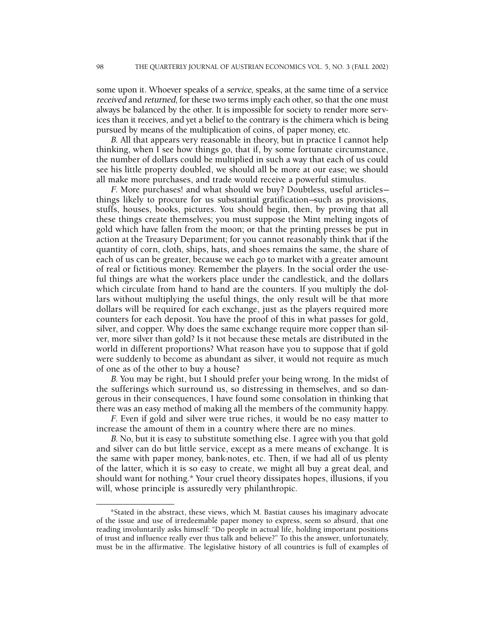some upon it. Whoever speaks of a *service*, speaks, at the same time of a service received and returned, for these two terms imply each other, so that the one must always be balanced by the other. It is impossible for society to render more services than it receives, and yet a belief to the contrary is the chimera which is being pursued by means of the multiplication of coins, of paper money, etc.

B. All that appears very reasonable in theory, but in practice I cannot help thinking, when I see how things go, that if, by some fortunate circumstance, the number of dollars could be multiplied in such a way that each of us could see his little property doubled, we should all be more at our ease; we should all make more purchases, and trade would receive a powerful stimulus.

F. More purchases! and what should we buy? Doubtless, useful articles things likely to procure for us substantial gratification—such as provisions, stuffs, houses, books, pictures. You should begin, then, by proving that all these things create themselves; you must suppose the Mint melting ingots of gold which have fallen from the moon; or that the printing presses be put in action at the Treasury Department; for you cannot reasonably think that if the quantity of corn, cloth, ships, hats, and shoes remains the same, the share of each of us can be greater, because we each go to market with a greater amount of real or fictitious money. Remember the players. In the social order the useful things are what the workers place under the candlestick, and the dollars which circulate from hand to hand are the counters. If you multiply the dollars without multiplying the useful things, the only result will be that more dollars will be required for each exchange, just as the players required more counters for each deposit. You have the proof of this in what passes for gold, silver, and copper. Why does the same exchange require more copper than silver, more silver than gold? Is it not because these metals are distributed in the world in different proportions? What reason have you to suppose that if gold were suddenly to become as abundant as silver, it would not require as much of one as of the other to buy a house?

B. You may be right, but I should prefer your being wrong. In the midst of the sufferings which surround us, so distressing in themselves, and so dangerous in their consequences, I have found some consolation in thinking that there was an easy method of making all the members of the community happy.

F. Even if gold and silver were true riches, it would be no easy matter to increase the amount of them in a country where there are no mines.

B. No, but it is easy to substitute something else. I agree with you that gold and silver can do but little service, except as a mere means of exchange. It is the same with paper money, bank-notes, etc. Then, if we had all of us plenty of the latter, which it is so easy to create, we might all buy a great deal, and should want for nothing.\* Your cruel theory dissipates hopes, illusions, if you will, whose principle is assuredly very philanthropic.

<sup>\*</sup>Stated in the abstract, these views, which M. Bastiat causes his imaginary advocate of the issue and use of irredeemable paper money to express, seem so absurd, that one reading involuntarily asks himself: "Do people in actual life, holding important positions of trust and influence really ever thus talk and believe?" To this the answer, unfortunately, must be in the affirmative. The legislative history of all countries is full of examples of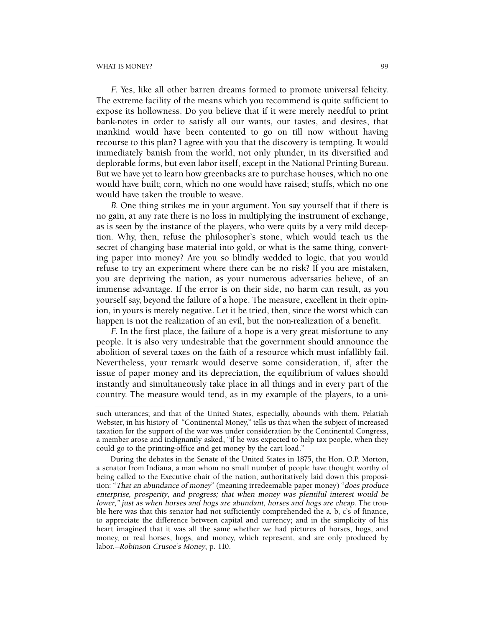F. Yes, like all other barren dreams formed to promote universal felicity. The extreme facility of the means which you recommend is quite sufficient to expose its hollowness. Do you believe that if it were merely needful to print bank-notes in order to satisfy all our wants, our tastes, and desires, that mankind would have been contented to go on till now without having recourse to this plan? I agree with you that the discovery is tempting. It would immediately banish from the world, not only plunder, in its diversified and deplorable forms, but even labor itself, except in the National Printing Bureau. But we have yet to learn how greenbacks are to purchase houses, which no one would have built; corn, which no one would have raised; stuffs, which no one would have taken the trouble to weave.

B. One thing strikes me in your argument. You say yourself that if there is no gain, at any rate there is no loss in multiplying the instrument of exchange, as is seen by the instance of the players, who were quits by a very mild deception. Why, then, refuse the philosopher's stone, which would teach us the secret of changing base material into gold, or what is the same thing, converting paper into money? Are you so blindly wedded to logic, that you would refuse to try an experiment where there can be no risk? If you are mistaken, you are depriving the nation, as your numerous adversaries believe, of an immense advantage. If the error is on their side, no harm can result, as you yourself say, beyond the failure of a hope. The measure, excellent in their opinion, in yours is merely negative. Let it be tried, then, since the worst which can happen is not the realization of an evil, but the non-realization of a benefit.

F. In the first place, the failure of a hope is a very great misfortune to any people. It is also very undesirable that the government should announce the abolition of several taxes on the faith of a resource which must infallibly fail. Nevertheless, your remark would deserve some consideration, if, after the issue of paper money and its depreciation, the equilibrium of values should instantly and simultaneously take place in all things and in every part of the country. The measure would tend, as in my example of the players, to a uni-

such utterances; and that of the United States, especially, abounds with them. Pelatiah Webster, in his history of "Continental Money," tells us that when the subject of increased taxation for the support of the war was under consideration by the Continental Congress, a member arose and indignantly asked, "if he was expected to help tax people, when they could go to the printing-office and get money by the cart load."

During the debates in the Senate of the United States in 1875, the Hon. O.P. Morton, a senator from Indiana, a man whom no small number of people have thought worthy of being called to the Executive chair of the nation, authoritatively laid down this proposition: "That an abundance of money" (meaning irredeemable paper money) "does produce enterprise, prosperity, and progress; that when money was plentiful interest would be lower," just as when horses and hogs are abundant, horses and hogs are cheap. The trouble here was that this senator had not sufficiently comprehended the a, b, c's of finance, to appreciate the difference between capital and currency; and in the simplicity of his heart imagined that it was all the same whether we had pictures of horses, hogs, and money, or real horses, hogs, and money, which represent, and are only produced by labor.—Robinson Crusoe's Money, p. 110.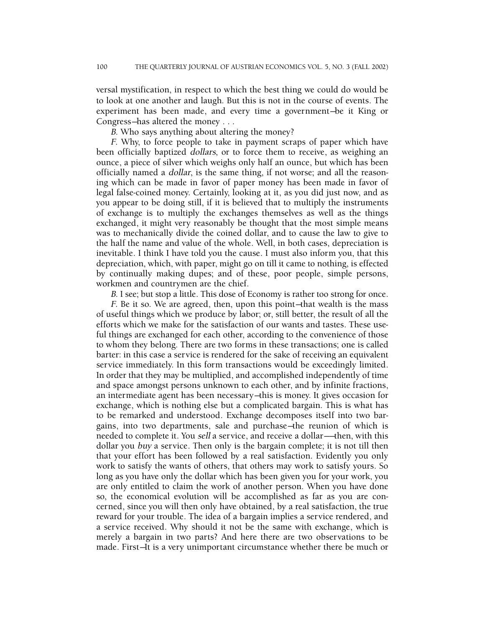versal mystification, in respect to which the best thing we could do would be to look at one another and laugh. But this is not in the course of events. The experiment has been made, and every time a government—be it King or Congress—has altered the money . . .

B. Who says anything about altering the money?

F. Why, to force people to take in payment scraps of paper which have been officially baptized dollars, or to force them to receive, as weighing an ounce, a piece of silver which weighs only half an ounce, but which has been officially named a dollar, is the same thing, if not worse; and all the reasoning which can be made in favor of paper money has been made in favor of legal false-coined money. Certainly, looking at it, as you did just now, and as you appear to be doing still, if it is believed that to multiply the instruments of exchange is to multiply the exchanges themselves as well as the things exchanged, it might very reasonably be thought that the most simple means was to mechanically divide the coined dollar, and to cause the law to give to the half the name and value of the whole. Well, in both cases, depreciation is inevitable. I think I have told you the cause. I must also inform you, that this depreciation, which, with paper, might go on till it came to nothing, is effected by continually making dupes; and of these, poor people, simple persons, workmen and countrymen are the chief.

B. I see; but stop a little. This dose of Economy is rather too strong for once.

F. Be it so. We are agreed, then, upon this point—that wealth is the mass of useful things which we produce by labor; or, still better, the result of all the efforts which we make for the satisfaction of our wants and tastes. These useful things are exchanged for each other, according to the convenience of those to whom they belong. There are two forms in these transactions; one is called barter: in this case a service is rendered for the sake of receiving an equivalent service immediately. In this form transactions would be exceedingly limited. In order that they may be multiplied, and accomplished independently of time and space amongst persons unknown to each other, and by infinite fractions, an intermediate agent has been necessary—this is money. It gives occasion for exchange, which is nothing else but a complicated bargain. This is what has to be remarked and understood. Exchange decomposes itself into two bargains, into two departments, sale and purchase—the reunion of which is needed to complete it. You sell a service, and receive a dollar——then, with this dollar you buy a service. Then only is the bargain complete; it is not till then that your effort has been followed by a real satisfaction. Evidently you only work to satisfy the wants of others, that others may work to satisfy yours. So long as you have only the dollar which has been given you for your work, you are only entitled to claim the work of another person. When you have done so, the economical evolution will be accomplished as far as you are concerned, since you will then only have obtained, by a real satisfaction, the true reward for your trouble. The idea of a bargain implies a service rendered, and a service received. Why should it not be the same with exchange, which is merely a bargain in two parts? And here there are two observations to be made. First—It is a very unimportant circumstance whether there be much or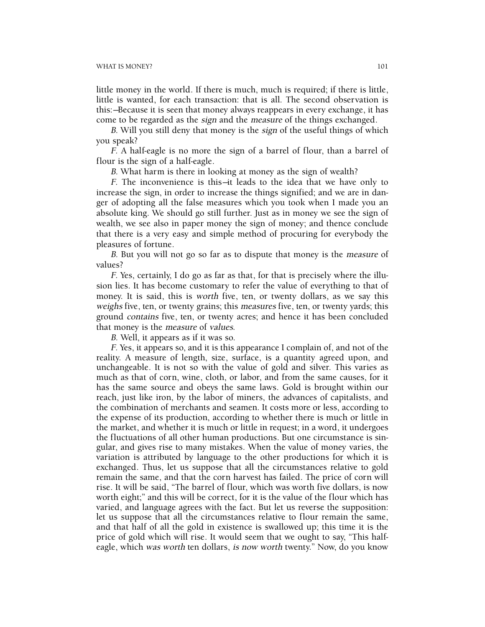little money in the world. If there is much, much is required; if there is little, little is wanted, for each transaction: that is all. The second observation is this:—Because it is seen that money always reappears in every exchange, it has come to be regarded as the sign and the measure of the things exchanged.

B. Will you still deny that money is the *sign* of the useful things of which you speak?

F. A half-eagle is no more the sign of a barrel of flour, than a barrel of flour is the sign of a half-eagle.

B. What harm is there in looking at money as the sign of wealth?

 $F$ . The inconvenience is this—it leads to the idea that we have only to increase the sign, in order to increase the things signified; and we are in danger of adopting all the false measures which you took when I made you an absolute king. We should go still further. Just as in money we see the sign of wealth, we see also in paper money the sign of money; and thence conclude that there is a very easy and simple method of procuring for everybody the pleasures of fortune.

B. But you will not go so far as to dispute that money is the *measure* of values?

F. Yes, certainly, I do go as far as that, for that is precisely where the illusion lies. It has become customary to refer the value of everything to that of money. It is said, this is worth five, ten, or twenty dollars, as we say this weighs five, ten, or twenty grains; this *measures* five, ten, or twenty yards; this ground contains five, ten, or twenty acres; and hence it has been concluded that money is the measure of values.

B. Well, it appears as if it was so.

F. Yes, it appears so, and it is this appearance I complain of, and not of the reality. A measure of length, size, surface, is a quantity agreed upon, and unchangeable. It is not so with the value of gold and silver. This varies as much as that of corn, wine, cloth, or labor, and from the same causes, for it has the same source and obeys the same laws. Gold is brought within our reach, just like iron, by the labor of miners, the advances of capitalists, and the combination of merchants and seamen. It costs more or less, according to the expense of its production, according to whether there is much or little in the market, and whether it is much or little in request; in a word, it undergoes the fluctuations of all other human productions. But one circumstance is singular, and gives rise to many mistakes. When the value of money varies, the variation is attributed by language to the other productions for which it is exchanged. Thus, let us suppose that all the circumstances relative to gold remain the same, and that the corn harvest has failed. The price of corn will rise. It will be said, "The barrel of flour, which was worth five dollars, is now worth eight;" and this will be correct, for it is the value of the flour which has varied, and language agrees with the fact. But let us reverse the supposition: let us suppose that all the circumstances relative to flour remain the same, and that half of all the gold in existence is swallowed up; this time it is the price of gold which will rise. It would seem that we ought to say, "This halfeagle, which was worth ten dollars, is now worth twenty." Now, do you know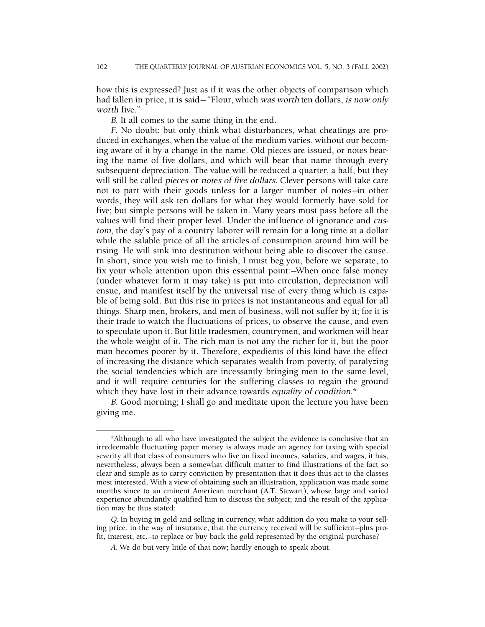how this is expressed? Just as if it was the other objects of comparison which had fallen in price, it is said-"Flour, which was worth ten dollars, is now only worth five."

B. It all comes to the same thing in the end.

F. No doubt; but only think what disturbances, what cheatings are produced in exchanges, when the value of the medium varies, without our becoming aware of it by a change in the name. Old pieces are issued, or notes bearing the name of five dollars, and which will bear that name through every subsequent depreciation. The value will be reduced a quarter, a half, but they will still be called pieces or notes of five dollars. Clever persons will take care not to part with their goods unless for a larger number of notes—in other words, they will ask ten dollars for what they would formerly have sold for five; but simple persons will be taken in. Many years must pass before all the values will find their proper level. Under the influence of ignorance and custom, the day's pay of a country laborer will remain for a long time at a dollar while the salable price of all the articles of consumption around him will be rising. He will sink into destitution without being able to discover the cause. In short, since you wish me to finish, I must beg you, before we separate, to fix your whole attention upon this essential point:—When once false money (under whatever form it may take) is put into circulation, depreciation will ensue, and manifest itself by the universal rise of every thing which is capable of being sold. But this rise in prices is not instantaneous and equal for all things. Sharp men, brokers, and men of business, will not suffer by it; for it is their trade to watch the fluctuations of prices, to observe the cause, and even to speculate upon it. But little tradesmen, countrymen, and workmen will bear the whole weight of it. The rich man is not any the richer for it, but the poor man becomes poorer by it. Therefore, expedients of this kind have the effect of increasing the distance which separates wealth from poverty, of paralyzing the social tendencies which are incessantly bringing men to the same level, and it will require centuries for the suffering classes to regain the ground which they have lost in their advance towards equality of condition.\*

B. Good morning; I shall go and meditate upon the lecture you have been giving me.

<sup>\*</sup>Although to all who have investigated the subject the evidence is conclusive that an irredeemable fluctuating paper money is always made an agency for taxing with special severity all that class of consumers who live on fixed incomes, salaries, and wages, it has, nevertheless, always been a somewhat difficult matter to find illustrations of the fact so clear and simple as to carry conviction by presentation that it does thus act to the classes most interested. With a view of obtaining such an illustration, application was made some months since to an eminent American merchant (A.T. Stewart), whose large and varied experience abundantly qualified him to discuss the subject; and the result of the application may be thus stated:

Q. In buying in gold and selling in currency, what addition do you make to your selling price, in the way of insurance, that the currency received will be sufficient—plus profit, interest, etc.—to replace or buy back the gold represented by the original purchase?

A. We do but very little of that now; hardly enough to speak about.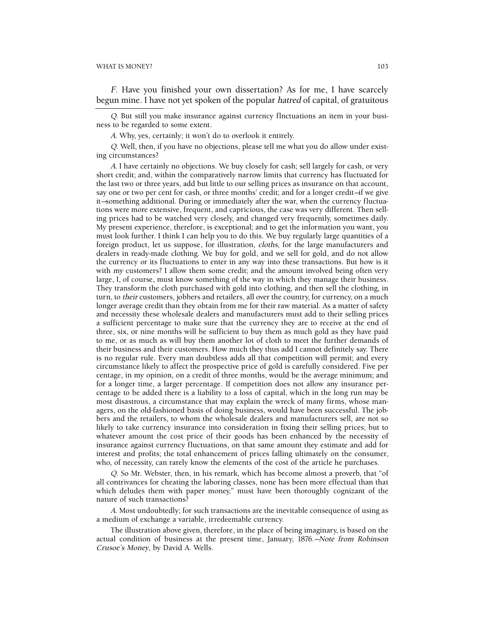F. Have you finished your own dissertation? As for me, I have scarcely begun mine. I have not yet spoken of the popular hatred of capital, of gratuitous

Q. But still you make insurance against currency flnctuations an item in your business to be regarded to some extent.

<sup>A</sup>. Why, yes, certainly; it won't do to overlook it entirely.

Q. Well, then, if you have no objections, please tell me what you do allow under existing circumstances?

<sup>A</sup>. I have certainly no objections. We buy closely for cash; sell largely for cash, or very short credit; and, within the comparatively narrow limits that currency has fluctuated for the last two or three years, add but little to our selling prices as insurance on that account, say one or two per cent for cash, or three months' credit; and for a longer credit—if we give it—something additional. During or immediately after the war, when the currency fluctuations were more extensive, frequent, and capricious, the case was very different. Then selling prices had to be watched very closely, and changed very frequently, sometimes daily. My present experience, therefore, is exceptional; and to get the information you want, you must look further. I think I can help you to do this. We buy regularly large quantities of a foreign product, let us suppose, for illustration, cloths, for the large manufacturers and dealers in ready-made clothing. We buy for gold, and we sell for gold, and do not allow the currency or its fluctuations to enter in any way into these transactions. But how is it with my customers? I allow them some credit; and the amount involved being often very large, I, of course, must know something of the way in which they manage their business. They transform the cloth purchased with gold into clothing, and then sell the clothing, in turn, to their customers, jobbers and retailers, all over the country, for currency, on a much longer average credit than they obtain from me for their raw material. As a matter of safety and necessity these wholesale dealers and manufacturers must add to their selling prices a sufficient percentage to make sure that the currency they are to receive at the end of three, six, or nine months will be sufficient to buy them as much gold as they have paid to me, or as much as will buy them another lot of cloth to meet the further demands of their business and their customers. How much they thus add I cannot definitely say. There is no regular rule. Every man doubtless adds all that competition will permit; and every circumstance likely to affect the prospective price of gold is carefully considered. Five per centage, in my opinion, on a credit of three months, would be the average minimum; and for a longer time, a larger percentage. If competition does not allow any insurance percentage to be added there is a liability to a loss of capital, which in the long run may be most disastrous, a circumstance that may explain the wreck of many firms, whose managers, on the old-fashioned basis of doing business, would have been successful. The jobbers and the retailers, to whom the wholesale dealers and manufacturers sell, are not so likely to take currency insurance into consideration in fixing their selling prices; but to whatever amount the cost price of their goods has been enhanced by the necessity of insurance against currency fluctuations, on that same amount they estimate and add for interest and profits; the total enhancement of prices falling ultimately on the consumer, who, of necessity, can rarely know the elements of the cost of the article he purchases.

Q. So Mr. Webster, then, in his remark, which has become almost a proverb, that "of all contrivances for cheating the laboring classes, none has been more effectual than that which deludes them with paper money," must have been thoroughly cognizant of the nature of such transactions?

<sup>A</sup>. Most undoubtedly; for such transactions are the inevitable consequence of using as a medium of exchange a variable, irredeemable currency.

The illustration above given, therefore, in the place of being imaginary, is based on the actual condition of business at the present time, January, 1876.—Note from Robinson Crusoe's Money, by David A. Wells.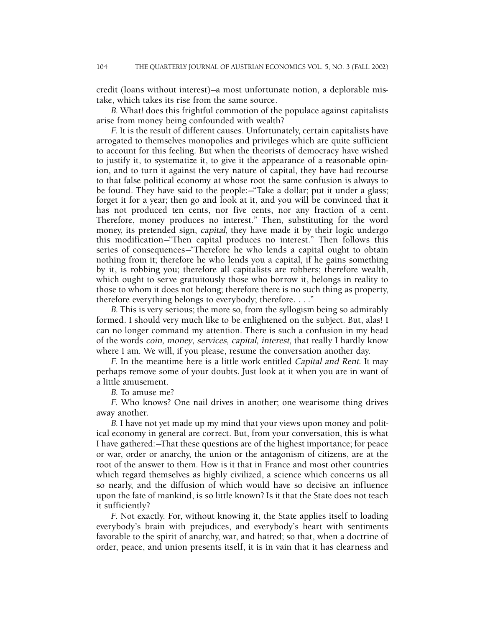credit (loans without interest)—a most unfortunate notion, a deplorable mistake, which takes its rise from the same source.

B. What! does this frightful commotion of the populace against capitalists arise from money being confounded with wealth?

F. It is the result of different causes. Unfortunately, certain capitalists have arrogated to themselves monopolies and privileges which are quite sufficient to account for this feeling. But when the theorists of democracy have wished to justify it, to systematize it, to give it the appearance of a reasonable opinion, and to turn it against the very nature of capital, they have had recourse to that false political economy at whose root the same confusion is always to be found. They have said to the people:—"Take a dollar; put it under a glass; forget it for a year; then go and look at it, and you will be convinced that it has not produced ten cents, nor five cents, nor any fraction of a cent. Therefore, money produces no interest." Then, substituting for the word money, its pretended sign, capital, they have made it by their logic undergo this modification—"Then capital produces no interest." Then follows this series of consequences—"Therefore he who lends a capital ought to obtain nothing from it; therefore he who lends you a capital, if he gains something by it, is robbing you; therefore all capitalists are robbers; therefore wealth, which ought to serve gratuitously those who borrow it, belongs in reality to those to whom it does not belong; therefore there is no such thing as property, therefore everything belongs to everybody; therefore. . . ."

B. This is very serious; the more so, from the syllogism being so admirably formed. I should very much like to be enlightened on the subject. But, alas! I can no longer command my attention. There is such a confusion in my head of the words coin, money, services, capital, interest, that really I hardly know where I am. We will, if you please, resume the conversation another day.

F. In the meantime here is a little work entitled Capital and Rent. It may perhaps remove some of your doubts. Just look at it when you are in want of a little amusement.

B. To amuse me?

F. Who knows? One nail drives in another; one wearisome thing drives away another.

B. I have not yet made up my mind that your views upon money and political economy in general are correct. But, from your conversation, this is what I have gathered:—That these questions are of the highest importance; for peace or war, order or anarchy, the union or the antagonism of citizens, are at the root of the answer to them. How is it that in France and most other countries which regard themselves as highly civilized, a science which concerns us all so nearly, and the diffusion of which would have so decisive an influence upon the fate of mankind, is so little known? Is it that the State does not teach it sufficiently?

F. Not exactly. For, without knowing it, the State applies itself to loading everybody's brain with prejudices, and everybody's heart with sentiments favorable to the spirit of anarchy, war, and hatred; so that, when a doctrine of order, peace, and union presents itself, it is in vain that it has clearness and